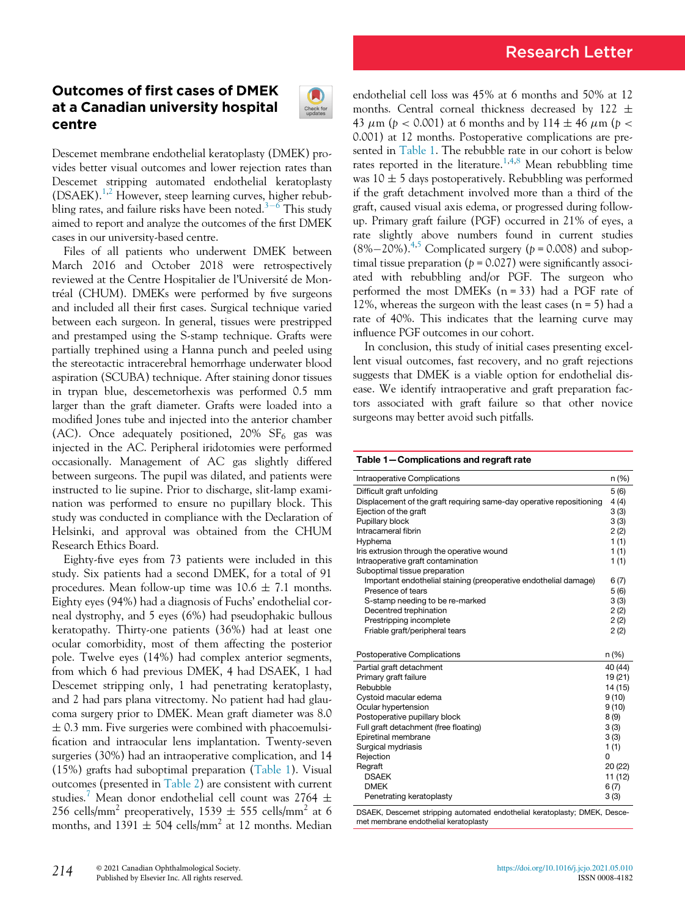# Research Letter

## Outcomes of first cases of DMEK at a Canadian university hospital centre



Descemet membrane endothelial keratoplasty (DMEK) provides better visual outcomes and lower rejection rates than Descemet stripping automated endothelial keratoplasty  $(DSAEK).<sup>1,2</sup>$  $(DSAEK).<sup>1,2</sup>$  $(DSAEK).<sup>1,2</sup>$  $(DSAEK).<sup>1,2</sup>$  However, steep learning curves, higher rebub-bling rates, and failure risks have been noted.<sup>[3](#page-1-2)-[6](#page-1-2)</sup> This study aimed to report and analyze the outcomes of the first DMEK cases in our university-based centre.

Files of all patients who underwent DMEK between March 2016 and October 2018 were retrospectively reviewed at the Centre Hospitalier de l'Université de Montréal (CHUM). DMEKs were performed by five surgeons and included all their first cases. Surgical technique varied between each surgeon. In general, tissues were prestripped and prestamped using the S-stamp technique. Grafts were partially trephined using a Hanna punch and peeled using the stereotactic intracerebral hemorrhage underwater blood aspiration (SCUBA) technique. After staining donor tissues in trypan blue, descemetorhexis was performed 0.5 mm larger than the graft diameter. Grafts were loaded into a modified Jones tube and injected into the anterior chamber (AC). Once adequately positioned,  $20\%$  SF<sub>6</sub> gas was injected in the AC. Peripheral iridotomies were performed occasionally. Management of AC gas slightly differed between surgeons. The pupil was dilated, and patients were instructed to lie supine. Prior to discharge, slit-lamp examination was performed to ensure no pupillary block. This study was conducted in compliance with the Declaration of Helsinki, and approval was obtained from the CHUM Research Ethics Board.

<span id="page-0-0"></span>Eighty-five eyes from 73 patients were included in this study. Six patients had a second DMEK, for a total of 91 procedures. Mean follow-up time was  $10.6 \pm 7.1$  months. Eighty eyes (94%) had a diagnosis of Fuchs' endothelial corneal dystrophy, and 5 eyes (6%) had pseudophakic bullous keratopathy. Thirty-one patients (36%) had at least one ocular comorbidity, most of them affecting the posterior pole. Twelve eyes (14%) had complex anterior segments, from which 6 had previous DMEK, 4 had DSAEK, 1 had Descemet stripping only, 1 had penetrating keratoplasty, and 2 had pars plana vitrectomy. No patient had had glaucoma surgery prior to DMEK. Mean graft diameter was 8.0  $\pm$  0.3 mm. Five surgeries were combined with phacoemulsification and intraocular lens implantation. Twenty-seven surgeries (30%) had an intraoperative complication, and 14 (15%) grafts had suboptimal preparation [\(Table 1\)](#page-0-0). Visual outcomes (presented in [Table 2\)](#page-1-3) are consistent with current studies.<sup>[7](#page-1-4)</sup> Mean donor endothelial cell count was 2764  $\pm$ 256 cells/mm<sup>2</sup> preoperatively, 1539  $\pm$  555 cells/mm<sup>2</sup> at 6 months, and  $1391 \pm 504$  cells/mm<sup>2</sup> at 12 months. Median endothelial cell loss was 45% at 6 months and 50% at 12 months. Central corneal thickness decreased by 122  $\pm$ 43  $\mu$ m (p < 0.001) at 6 months and by 114  $\pm$  46  $\mu$ m (p < 0.001) at 12 months. Postoperative complications are presented in [Table 1.](#page-0-0) The rebubble rate in our cohort is below rates reported in the literature.<sup>[1](#page-1-0)[,4,](#page-1-5)[8](#page-1-6)</sup> Mean rebubbling time was  $10 \pm 5$  days postoperatively. Rebubbling was performed if the graft detachment involved more than a third of the graft, caused visual axis edema, or progressed during followup. Primary graft failure (PGF) occurred in 21% of eyes, a rate slightly above numbers found in current studies  $(8\%-20\%)$ .<sup>[4](#page-1-5)[,5](#page-1-7)</sup> Complicated surgery ( $p = 0.008$ ) and suboptimal tissue preparation ( $p = 0.027$ ) were significantly associated with rebubbling and/or PGF. The surgeon who performed the most DMEKs  $(n = 33)$  had a PGF rate of 12%, whereas the surgeon with the least cases  $(n = 5)$  had a rate of 40%. This indicates that the learning curve may influence PGF outcomes in our cohort.

In conclusion, this study of initial cases presenting excellent visual outcomes, fast recovery, and no graft rejections suggests that DMEK is a viable option for endothelial disease. We identify intraoperative and graft preparation factors associated with graft failure so that other novice surgeons may better avoid such pitfalls.

Table 1—Complications and regraft rate

| Difficult graft unfolding<br>5(6)<br>Displacement of the graft requiring same-day operative repositioning<br>4(4)<br>Ejection of the graft<br>3(3)<br>Pupillary block<br>3(3)<br>Intracameral fibrin<br>2(2)<br>Hyphema<br>1 (1)<br>Iris extrusion through the operative wound<br>1(1)<br>Intraoperative graft contamination<br>1(1)<br>Suboptimal tissue preparation<br>Important endothelial staining (preoperative endothelial damage)<br>6(7)<br>Presence of tears<br>5(6) | Intraoperative Complications    | n (%) |  |  |
|--------------------------------------------------------------------------------------------------------------------------------------------------------------------------------------------------------------------------------------------------------------------------------------------------------------------------------------------------------------------------------------------------------------------------------------------------------------------------------|---------------------------------|-------|--|--|
|                                                                                                                                                                                                                                                                                                                                                                                                                                                                                |                                 |       |  |  |
|                                                                                                                                                                                                                                                                                                                                                                                                                                                                                |                                 |       |  |  |
|                                                                                                                                                                                                                                                                                                                                                                                                                                                                                |                                 |       |  |  |
|                                                                                                                                                                                                                                                                                                                                                                                                                                                                                |                                 |       |  |  |
|                                                                                                                                                                                                                                                                                                                                                                                                                                                                                |                                 |       |  |  |
|                                                                                                                                                                                                                                                                                                                                                                                                                                                                                |                                 |       |  |  |
|                                                                                                                                                                                                                                                                                                                                                                                                                                                                                |                                 |       |  |  |
|                                                                                                                                                                                                                                                                                                                                                                                                                                                                                |                                 |       |  |  |
|                                                                                                                                                                                                                                                                                                                                                                                                                                                                                |                                 |       |  |  |
|                                                                                                                                                                                                                                                                                                                                                                                                                                                                                |                                 |       |  |  |
|                                                                                                                                                                                                                                                                                                                                                                                                                                                                                |                                 |       |  |  |
|                                                                                                                                                                                                                                                                                                                                                                                                                                                                                | S-stamp needing to be re-marked | 3(3)  |  |  |
| Decentred trephination<br>2(2)                                                                                                                                                                                                                                                                                                                                                                                                                                                 |                                 |       |  |  |
| Prestripping incomplete<br>2(2)                                                                                                                                                                                                                                                                                                                                                                                                                                                |                                 |       |  |  |
| Friable graft/peripheral tears<br>2(2)                                                                                                                                                                                                                                                                                                                                                                                                                                         |                                 |       |  |  |
|                                                                                                                                                                                                                                                                                                                                                                                                                                                                                |                                 |       |  |  |
| Postoperative Complications<br>n (%)                                                                                                                                                                                                                                                                                                                                                                                                                                           |                                 |       |  |  |
| Partial graft detachment<br>40 (44)                                                                                                                                                                                                                                                                                                                                                                                                                                            |                                 |       |  |  |
| Primary graft failure<br>19 (21)                                                                                                                                                                                                                                                                                                                                                                                                                                               |                                 |       |  |  |
| Rebubble<br>14 (15)                                                                                                                                                                                                                                                                                                                                                                                                                                                            |                                 |       |  |  |
| Cystoid macular edema<br>9(10)                                                                                                                                                                                                                                                                                                                                                                                                                                                 |                                 |       |  |  |
| Ocular hypertension<br>9(10)                                                                                                                                                                                                                                                                                                                                                                                                                                                   |                                 |       |  |  |
| Postoperative pupillary block<br>8 (9)                                                                                                                                                                                                                                                                                                                                                                                                                                         |                                 |       |  |  |
| Full graft detachment (free floating)<br>3(3)                                                                                                                                                                                                                                                                                                                                                                                                                                  |                                 |       |  |  |
| Epiretinal membrane<br>3(3)                                                                                                                                                                                                                                                                                                                                                                                                                                                    |                                 |       |  |  |
| Surgical mydriasis<br>1(1)                                                                                                                                                                                                                                                                                                                                                                                                                                                     |                                 |       |  |  |
| Rejection<br>0                                                                                                                                                                                                                                                                                                                                                                                                                                                                 |                                 |       |  |  |
| Regraft<br>20 (22)                                                                                                                                                                                                                                                                                                                                                                                                                                                             |                                 |       |  |  |
| <b>DSAEK</b><br>11 (12)                                                                                                                                                                                                                                                                                                                                                                                                                                                        |                                 |       |  |  |
| <b>DMEK</b><br>6(7)                                                                                                                                                                                                                                                                                                                                                                                                                                                            |                                 |       |  |  |
| Penetrating keratoplasty<br>3(3)                                                                                                                                                                                                                                                                                                                                                                                                                                               |                                 |       |  |  |

DSAEK, Descemet stripping automated endothelial keratoplasty; DMEK, Descemet membrane endothelial keratoplasty